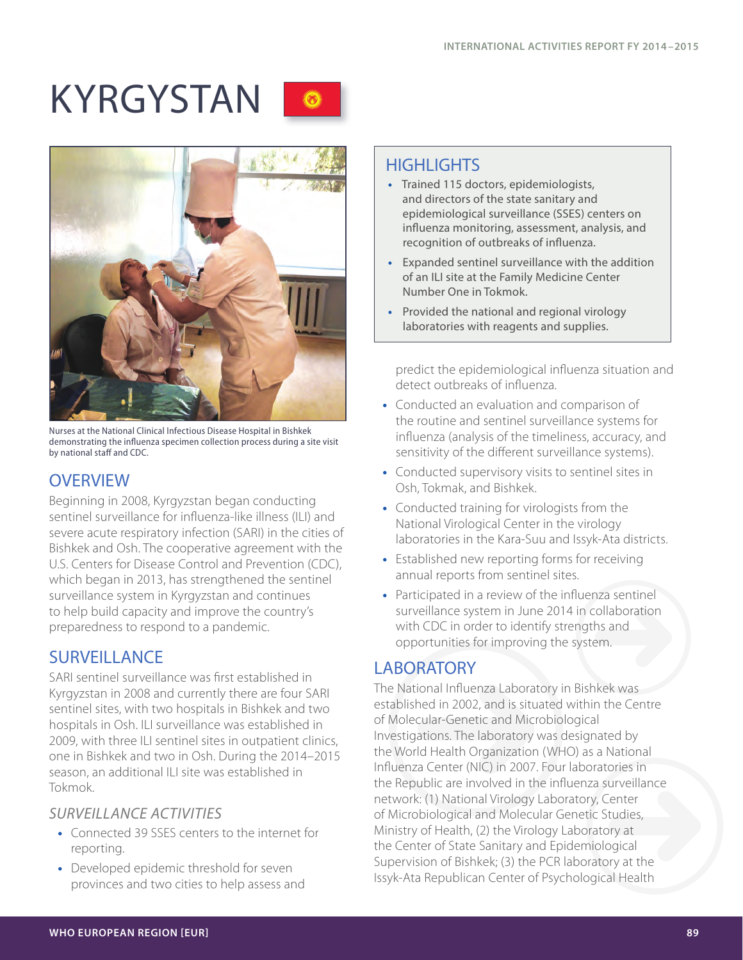# KYRGYSTAN O





Nurses at the National Clinical Infectious Disease Hospital in Bishkek demonstrating the influenza specimen collection process during a site visit by national staff and CDC.

## **OVERVIEW**

Beginning in 2008, Kyrgyzstan began conducting sentinel surveillance for influenza-like illness (ILI) and severe acute respiratory infection (SARI) in the cities of Bishkek and Osh. The cooperative agreement with the U.S. Centers for Disease Control and Prevention (CDC), which began in 2013, has strengthened the sentinel surveillance system in Kyrgyzstan and continues to help build capacity and improve the country's preparedness to respond to a pandemic.

## **SURVEILLANCE**

SARI sentinel surveillance was first established in Kyrgyzstan in 2008 and currently there are four SARI sentinel sites, with two hospitals in Bishkek and two hospitals in Osh. ILI surveillance was established in 2009, with three ILI sentinel sites in outpatient clinics, one in Bishkek and two in Osh. During the 2014–2015 season, an additional ILI site was established in Tokmok.

#### *SURVEILLANCE ACTIVITIES*

- **•** Connected 39 SSES centers to the internet for reporting.
- **•** Developed epidemic threshold for seven provinces and two cities to help assess and

# **HIGHLIGHTS**

- **•** Trained 115 doctors, epidemiologists, and directors of the state sanitary and epidemiological surveillance (SSES) centers on influenza monitoring, assessment, analysis, and recognition of outbreaks of influenza.
- **•** Expanded sentinel surveillance with the addition of an ILI site at the Family Medicine Center Number One in Tokmok.
- **•** Provided the national and regional virology laboratories with reagents and supplies.

predict the epidemiological influenza situation and detect outbreaks of influenza.

- **•** Conducted an evaluation and comparison of the routine and sentinel surveillance systems for influenza (analysis of the timeliness, accuracy, and sensitivity of the different surveillance systems).
- **•** Conducted supervisory visits to sentinel sites in Osh, Tokmak, and Bishkek.
- **•** Conducted training for virologists from the National Virological Center in the virology laboratories in the Kara-Suu and Issyk-Ata districts.
- **•** Established new reporting forms for receiving annual reports from sentinel sites.
- **•** Participated in a review of the influenza sentinel surveillance system in June 2014 in collaboration with CDC in order to identify strengths and opportunities for improving the system.

## LABORATORY

The National Influenza Laboratory in Bishkek was established in 2002, and is situated within the Centre of Molecular-Genetic and Microbiological Investigations. The laboratory was designated by the World Health Organization (WHO) as a National Influenza Center (NIC) in 2007. Four laboratories in the Republic are involved in the influenza surveillance network: (1) National Virology Laboratory, Center of Microbiological and Molecular Genetic Studies, Ministry of Health, (2) the Virology Laboratory at the Center of State Sanitary and Epidemiological Supervision of Bishkek; (3) the PCR laboratory at the Issyk-Ata Republican Center of Psychological Health